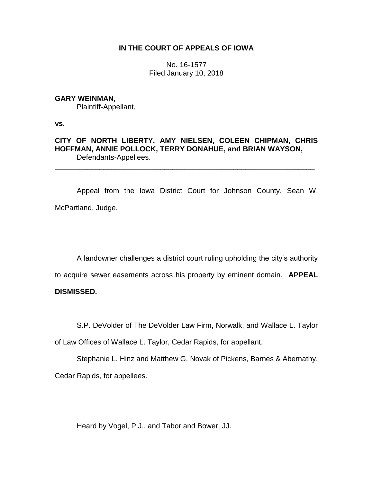## **IN THE COURT OF APPEALS OF IOWA**

No. 16-1577 Filed January 10, 2018

### **GARY WEINMAN,**

Plaintiff-Appellant,

**vs.**

# **CITY OF NORTH LIBERTY, AMY NIELSEN, COLEEN CHIPMAN, CHRIS HOFFMAN, ANNIE POLLOCK, TERRY DONAHUE, and BRIAN WAYSON,** Defendants-Appellees.

\_\_\_\_\_\_\_\_\_\_\_\_\_\_\_\_\_\_\_\_\_\_\_\_\_\_\_\_\_\_\_\_\_\_\_\_\_\_\_\_\_\_\_\_\_\_\_\_\_\_\_\_\_\_\_\_\_\_\_\_\_\_\_\_

Appeal from the Iowa District Court for Johnson County, Sean W. McPartland, Judge.

A landowner challenges a district court ruling upholding the city's authority to acquire sewer easements across his property by eminent domain. **APPEAL** 

## **DISMISSED.**

S.P. DeVolder of The DeVolder Law Firm, Norwalk, and Wallace L. Taylor of Law Offices of Wallace L. Taylor, Cedar Rapids, for appellant.

Stephanie L. Hinz and Matthew G. Novak of Pickens, Barnes & Abernathy, Cedar Rapids, for appellees.

Heard by Vogel, P.J., and Tabor and Bower, JJ.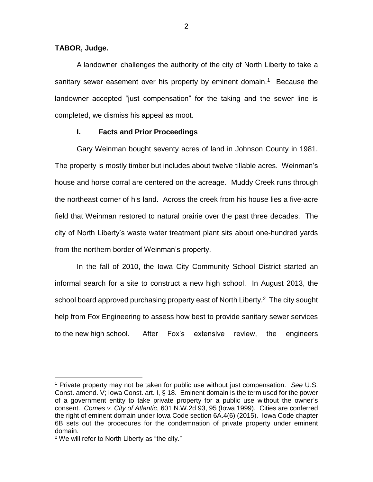## **TABOR, Judge.**

A landowner challenges the authority of the city of North Liberty to take a sanitary sewer easement over his property by eminent domain.<sup>1</sup> Because the landowner accepted "just compensation" for the taking and the sewer line is completed, we dismiss his appeal as moot.

## **I. Facts and Prior Proceedings**

Gary Weinman bought seventy acres of land in Johnson County in 1981. The property is mostly timber but includes about twelve tillable acres. Weinman's house and horse corral are centered on the acreage. Muddy Creek runs through the northeast corner of his land. Across the creek from his house lies a five-acre field that Weinman restored to natural prairie over the past three decades. The city of North Liberty's waste water treatment plant sits about one-hundred yards from the northern border of Weinman's property.

In the fall of 2010, the Iowa City Community School District started an informal search for a site to construct a new high school. In August 2013, the school board approved purchasing property east of North Liberty.<sup>2</sup> The city sought help from Fox Engineering to assess how best to provide sanitary sewer services to the new high school. After Fox's extensive review, the engineers

 $\overline{a}$ 

<sup>1</sup> Private property may not be taken for public use without just compensation. *See* U.S. Const. amend. V; Iowa Const. art. I, § 18. Eminent domain is the term used for the power of a government entity to take private property for a public use without the owner's consent. *Comes v. City of Atlantic*, 601 N.W.2d 93, 95 (Iowa 1999). Cities are conferred the right of eminent domain under Iowa Code section 6A.4(6) (2015). Iowa Code chapter 6B sets out the procedures for the condemnation of private property under eminent domain.

 $2$  We will refer to North Liberty as "the city."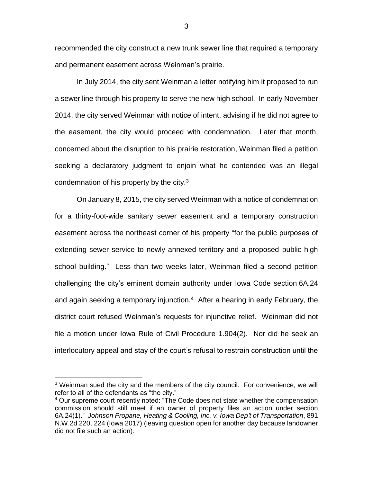recommended the city construct a new trunk sewer line that required a temporary and permanent easement across Weinman's prairie.

In July 2014, the city sent Weinman a letter notifying him it proposed to run a sewer line through his property to serve the new high school. In early November 2014, the city served Weinman with notice of intent, advising if he did not agree to the easement, the city would proceed with condemnation. Later that month, concerned about the disruption to his prairie restoration, Weinman filed a petition seeking a declaratory judgment to enjoin what he contended was an illegal condemnation of his property by the city. $3$ 

On January 8, 2015, the city served Weinman with a notice of condemnation for a thirty-foot-wide sanitary sewer easement and a temporary construction easement across the northeast corner of his property "for the public purposes of extending sewer service to newly annexed territory and a proposed public high school building." Less than two weeks later, Weinman filed a second petition challenging the city's eminent domain authority under Iowa Code section 6A.24 and again seeking a temporary injunction.<sup>4</sup> After a hearing in early February, the district court refused Weinman's requests for injunctive relief. Weinman did not file a motion under Iowa Rule of Civil Procedure 1.904(2). Nor did he seek an interlocutory appeal and stay of the court's refusal to restrain construction until the

 $\overline{a}$ 

3

<sup>&</sup>lt;sup>3</sup> Weinman sued the city and the members of the city council. For convenience, we will refer to all of the defendants as "the city."

<sup>4</sup> Our supreme court recently noted: "The Code does not state whether the compensation commission should still meet if an owner of property files an action under section 6A.24(1)." *Johnson Propane, Heating & Cooling, Inc. v. Iowa Dep't of Transportation*, 891 N.W.2d 220, 224 (Iowa 2017) (leaving question open for another day because landowner did not file such an action).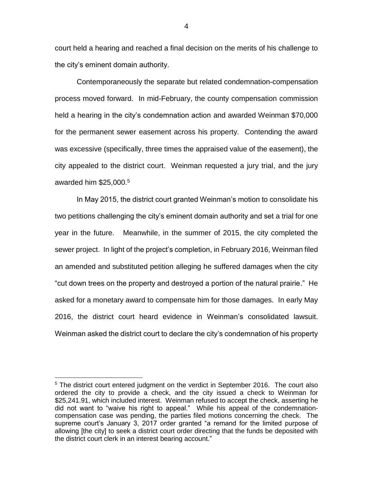court held a hearing and reached a final decision on the merits of his challenge to the city's eminent domain authority.

Contemporaneously the separate but related condemnation-compensation process moved forward. In mid-February, the county compensation commission held a hearing in the city's condemnation action and awarded Weinman \$70,000 for the permanent sewer easement across his property. Contending the award was excessive (specifically, three times the appraised value of the easement), the city appealed to the district court. Weinman requested a jury trial, and the jury awarded him \$25,000. 5

In May 2015, the district court granted Weinman's motion to consolidate his two petitions challenging the city's eminent domain authority and set a trial for one year in the future. Meanwhile, in the summer of 2015, the city completed the sewer project. In light of the project's completion, in February 2016, Weinman filed an amended and substituted petition alleging he suffered damages when the city "cut down trees on the property and destroyed a portion of the natural prairie." He asked for a monetary award to compensate him for those damages. In early May 2016, the district court heard evidence in Weinman's consolidated lawsuit. Weinman asked the district court to declare the city's condemnation of his property

 $\overline{a}$ 

 $5$  The district court entered judgment on the verdict in September 2016. The court also ordered the city to provide a check, and the city issued a check to Weinman for \$25,241.91, which included interest. Weinman refused to accept the check, asserting he did not want to "waive his right to appeal." While his appeal of the condemnationcompensation case was pending, the parties filed motions concerning the check. The supreme court's January 3, 2017 order granted "a remand for the limited purpose of allowing [the city] to seek a district court order directing that the funds be deposited with the district court clerk in an interest bearing account."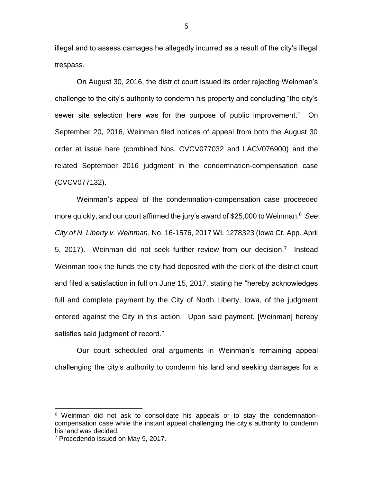illegal and to assess damages he allegedly incurred as a result of the city's illegal trespass.

On August 30, 2016, the district court issued its order rejecting Weinman's challenge to the city's authority to condemn his property and concluding "the city's sewer site selection here was for the purpose of public improvement." On September 20, 2016, Weinman filed notices of appeal from both the August 30 order at issue here (combined Nos. CVCV077032 and LACV076900) and the related September 2016 judgment in the condemnation-compensation case (CVCV077132).

Weinman's appeal of the condemnation-compensation case proceeded more quickly, and our court affirmed the jury's award of \$25,000 to Weinman.<sup>6</sup> *See City of N. Liberty v. Weinman*, No. 16-1576, 2017 WL 1278323 (Iowa Ct. App. April 5, 2017). Weinman did not seek further review from our decision.<sup>7</sup> Instead Weinman took the funds the city had deposited with the clerk of the district court and filed a satisfaction in full on June 15, 2017, stating he "hereby acknowledges full and complete payment by the City of North Liberty, Iowa, of the judgment entered against the City in this action. Upon said payment, [Weinman] hereby satisfies said judgment of record."

Our court scheduled oral arguments in Weinman's remaining appeal challenging the city's authority to condemn his land and seeking damages for a

 $\overline{a}$ 

 $6$  Weinman did not ask to consolidate his appeals or to stay the condemnationcompensation case while the instant appeal challenging the city's authority to condemn his land was decided.

<sup>&</sup>lt;sup>7</sup> Procedendo issued on May 9, 2017.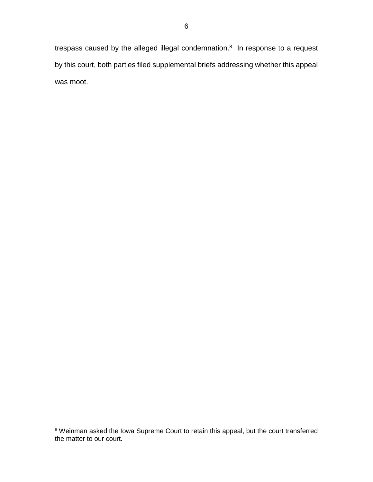trespass caused by the alleged illegal condemnation. $8$  In response to a request by this court, both parties filed supplemental briefs addressing whether this appeal was moot.

 $\overline{a}$ <sup>8</sup> Weinman asked the Iowa Supreme Court to retain this appeal, but the court transferred the matter to our court.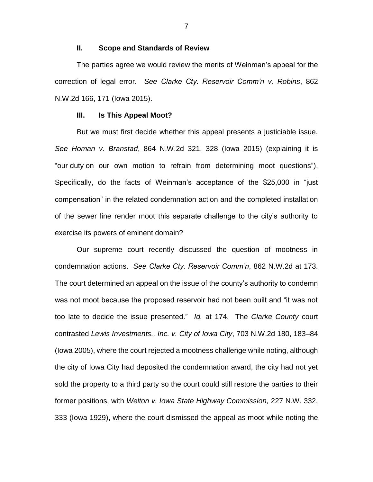#### **II. Scope and Standards of Review**

The parties agree we would review the merits of Weinman's appeal for the correction of legal error. *See Clarke Cty. Reservoir Comm'n v. Robins*, 862 N.W.2d 166, 171 (Iowa 2015).

#### **III. Is This Appeal Moot?**

But we must first decide whether this appeal presents a justiciable issue. *See Homan v. Branstad*, 864 N.W.2d 321, 328 (Iowa 2015) (explaining it is "our duty on our own motion to refrain from determining moot questions"). Specifically, do the facts of Weinman's acceptance of the \$25,000 in "just compensation" in the related condemnation action and the completed installation of the sewer line render moot this separate challenge to the city's authority to exercise its powers of eminent domain?

Our supreme court recently discussed the question of mootness in condemnation actions. *See Clarke Cty. Reservoir Comm'n*, 862 N.W.2d at 173. The court determined an appeal on the issue of the county's authority to condemn was not moot because the proposed reservoir had not been built and "it was not too late to decide the issue presented." *Id.* at 174. The *Clarke County* court contrasted *Lewis Investments., Inc. v. City of Iowa City*, 703 N.W.2d 180, 183–84 (Iowa 2005), where the court rejected a mootness challenge while noting, although the city of Iowa City had deposited the condemnation award, the city had not yet sold the property to a third party so the court could still restore the parties to their former positions, with *Welton v. Iowa State Highway Commission,* 227 N.W. 332, 333 (Iowa 1929), where the court dismissed the appeal as moot while noting the

7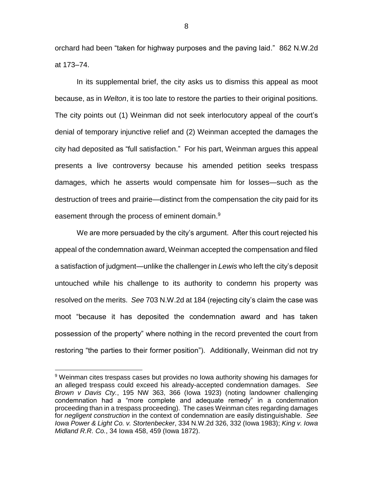orchard had been "taken for highway purposes and the paving laid." 862 N.W.2d at 173–74.

In its supplemental brief, the city asks us to dismiss this appeal as moot because, as in *Welton*, it is too late to restore the parties to their original positions. The city points out (1) Weinman did not seek interlocutory appeal of the court's denial of temporary injunctive relief and (2) Weinman accepted the damages the city had deposited as "full satisfaction." For his part, Weinman argues this appeal presents a live controversy because his amended petition seeks trespass damages, which he asserts would compensate him for losses—such as the destruction of trees and prairie—distinct from the compensation the city paid for its easement through the process of eminent domain.<sup>9</sup>

We are more persuaded by the city's argument. After this court rejected his appeal of the condemnation award, Weinman accepted the compensation and filed a satisfaction of judgment—unlike the challenger in *Lewis* who left the city's deposit untouched while his challenge to its authority to condemn his property was resolved on the merits. *See* 703 N.W.2d at 184 (rejecting city's claim the case was moot "because it has deposited the condemnation award and has taken possession of the property" where nothing in the record prevented the court from restoring "the parties to their former position"). Additionally, Weinman did not try

 $\overline{a}$ 

8

<sup>&</sup>lt;sup>9</sup> Weinman cites trespass cases but provides no lowa authority showing his damages for an alleged trespass could exceed his already-accepted condemnation damages. *See Brown v Davis Cty.*, 195 NW 363, 366 (Iowa 1923) (noting landowner challenging condemnation had a "more complete and adequate remedy" in a condemnation proceeding than in a trespass proceeding). The cases Weinman cites regarding damages for *negligent construction* in the context of condemnation are easily distinguishable. *See Iowa Power & Light Co. v. Stortenbecker*, 334 N.W.2d 326, 332 (Iowa 1983); *King v. Iowa Midland R.R. Co.*, 34 Iowa 458, 459 (Iowa 1872).